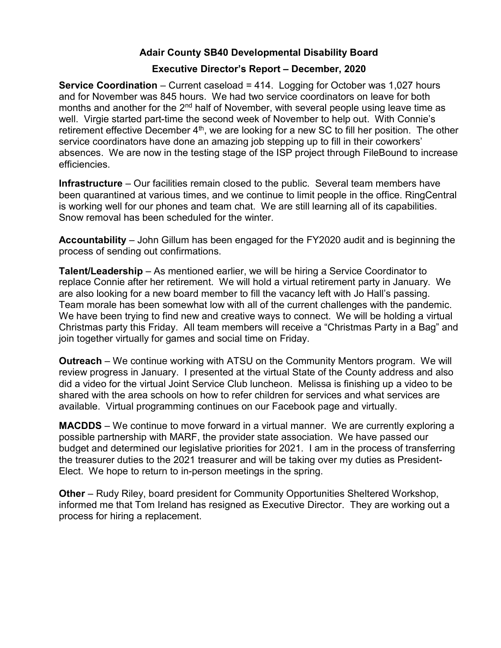## Adair County SB40 Developmental Disability Board

## Executive Director's Report – December, 2020

Service Coordination – Current caseload = 414. Logging for October was 1,027 hours and for November was 845 hours. We had two service coordinators on leave for both months and another for the 2<sup>nd</sup> half of November, with several people using leave time as well. Virgie started part-time the second week of November to help out. With Connie's retirement effective December  $4<sup>th</sup>$ , we are looking for a new SC to fill her position. The other service coordinators have done an amazing job stepping up to fill in their coworkers' absences. We are now in the testing stage of the ISP project through FileBound to increase efficiencies.

Infrastructure – Our facilities remain closed to the public. Several team members have been quarantined at various times, and we continue to limit people in the office. RingCentral is working well for our phones and team chat. We are still learning all of its capabilities. Snow removal has been scheduled for the winter.

Accountability – John Gillum has been engaged for the FY2020 audit and is beginning the process of sending out confirmations.

Talent/Leadership – As mentioned earlier, we will be hiring a Service Coordinator to replace Connie after her retirement. We will hold a virtual retirement party in January. We are also looking for a new board member to fill the vacancy left with Jo Hall's passing. Team morale has been somewhat low with all of the current challenges with the pandemic. We have been trying to find new and creative ways to connect. We will be holding a virtual Christmas party this Friday. All team members will receive a "Christmas Party in a Bag" and join together virtually for games and social time on Friday.

Outreach – We continue working with ATSU on the Community Mentors program. We will review progress in January. I presented at the virtual State of the County address and also did a video for the virtual Joint Service Club luncheon. Melissa is finishing up a video to be shared with the area schools on how to refer children for services and what services are available. Virtual programming continues on our Facebook page and virtually.

MACDDS – We continue to move forward in a virtual manner. We are currently exploring a possible partnership with MARF, the provider state association. We have passed our budget and determined our legislative priorities for 2021. I am in the process of transferring the treasurer duties to the 2021 treasurer and will be taking over my duties as President-Elect. We hope to return to in-person meetings in the spring.

Other – Rudy Riley, board president for Community Opportunities Sheltered Workshop, informed me that Tom Ireland has resigned as Executive Director. They are working out a process for hiring a replacement.